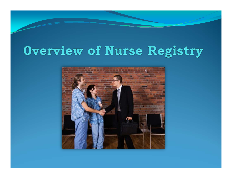# Overview of Nurse Registry

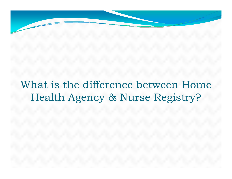What is the difference between Home Health Agency & Nurse Registry?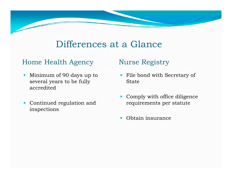### Differences at a Glance

#### Home Health Agency Nurse Registry

- $\bullet$  Minimum of 90 days up to several years to be fully accredited
- Continued regulation and inspections

- File bond with Secretary of State
- Comply with office diligence requirements per statute
- Obtain insurance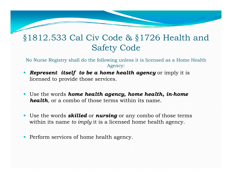#### §1812.533 Cal Civ Code & §1726 Health and Safety Code

No Nurse Registry shall do the following unless it is licensed as a Home Health Agency:

- **Represent itself to be a home health agency** or imply it is licensed to provide those services.
- **•** Use the words **home health agency, home health, in-home** *health*, or a combo of those terms within its name.
- Use the words *skilled* or **nursing** or any combo of those terms within its name *to imply* it is a licensed home health agency.
- Perform services of home health agency.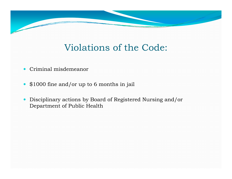## Violations of the Code:

- Criminal misdemeanor
- \$1000 fine and/or up to 6 months in jail
- Disciplinary actions by Board of Registered Nursing and/or Department of Public Health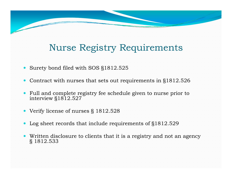# Nurse Registry Requirements

- Surety bond filed with SOS §1812.525
- $\bullet$ Contract with nurses that sets out requirements in §1812.526
- $\bullet$  Full and complete registry fee schedule given to nurse prior to interview §1812.527
- Verify license of nurses § 1812.528
- Log sheet records that include requirements of §1812.529
- $\bullet$  Written disclosure to clients that it is a registry and not an agency § 1812.533